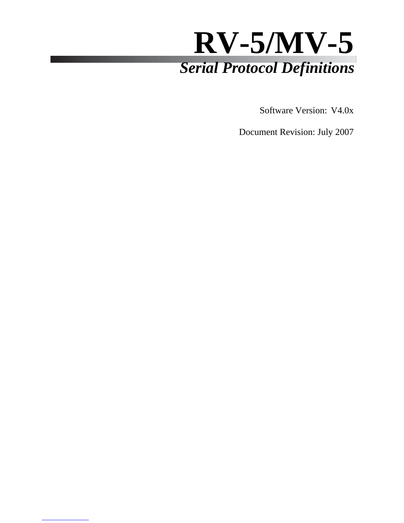

Software Version: V4.0x

Document Revision: July 2007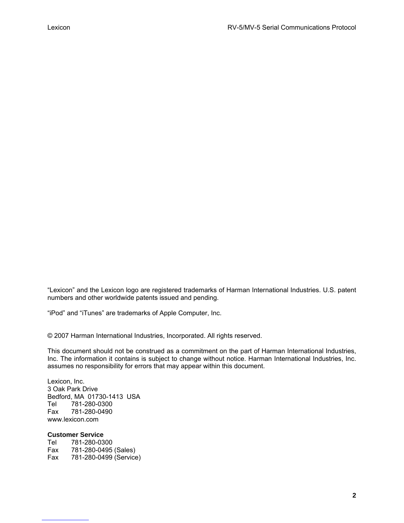"Lexicon" and the Lexicon logo are registered trademarks of Harman International Industries. U.S. patent numbers and other worldwide patents issued and pending.

"iPod" and "iTunes" are trademarks of Apple Computer, Inc.

© 2007 Harman International Industries, Incorporated. All rights reserved.

This document should not be construed as a commitment on the part of Harman International Industries, Inc. The information it contains is subject to change without notice. Harman International Industries, Inc. assumes no responsibility for errors that may appear within this document.

Lexicon, Inc. 3 Oak Park Drive Bedford, MA 01730-1413 USA Tel 781-280-0300 Fax 781-280-0490 www.lexicon.com

#### **Customer Service**

Tel 781-280-0300 Fax 781-280-0495 (Sales) Fax 781-280-0499 (Service)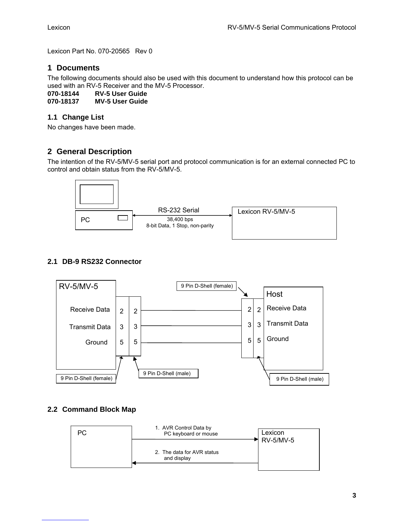Lexicon Part No. 070-20565 Rev 0

### **1 Documents**

The following documents should also be used with this document to understand how this protocol can be used with an RV-5 Receiver and the MV-5 Processor.

**070-18144 RV-5 User Guide** 

**070-18137 MV-5 User Guide** 

#### **1.1 Change List**

No changes have been made.

## **2 General Description**

The intention of the RV-5/MV-5 serial port and protocol communication is for an external connected PC to control and obtain status from the RV-5/MV-5.



## **2.1 DB-9 RS232 Connector**



#### **2.2 Command Block Map**

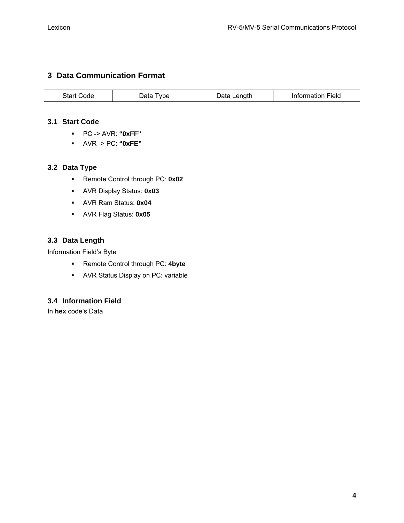## **3 Data Communication Format**

|  | Start (<br>anol | vpe<br>ata | _enath | Field<br>тогованов |
|--|-----------------|------------|--------|--------------------|
|--|-----------------|------------|--------|--------------------|

#### **3.1 Start Code**

- PC -> AVR: **"0xFF"**
- AVR -> PC: **"0xFE"**

#### **3.2 Data Type**

- Remote Control through PC: **0x02**
- AVR Display Status: **0x03**
- AVR Ram Status: **0x04**
- AVR Flag Status: **0x05**

## **3.3 Data Length**

Information Field's Byte

- Remote Control through PC: **4byte**
- AVR Status Display on PC: variable

## **3.4 Information Field**

In **hex** code's Data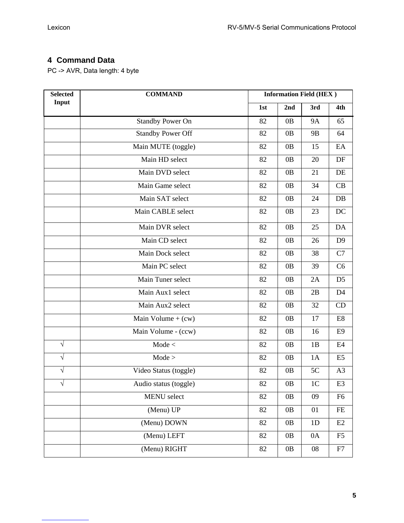# **4 Command Data**

PC -> AVR, Data length: 4 byte

| <b>Selected</b> | <b>COMMAND</b>           | <b>Information Field (HEX)</b> |                |                |                |
|-----------------|--------------------------|--------------------------------|----------------|----------------|----------------|
| Input           |                          | 1st                            | 2nd            | 3rd            | 4th            |
|                 | <b>Standby Power On</b>  | 82                             | 0B             | <b>9A</b>      | 65             |
|                 | <b>Standby Power Off</b> | 82                             | 0B             | 9 <sub>B</sub> | 64             |
|                 | Main MUTE (toggle)       | 82                             | 0B             | 15             | EA             |
|                 | Main HD select           | 82                             | 0B             | 20             | DF             |
|                 | Main DVD select          | 82                             | 0B             | 21             | DE             |
|                 | Main Game select         | 82                             | 0B             | 34             | CB             |
|                 | Main SAT select          | 82                             | 0B             | 24             | DB             |
|                 | Main CABLE select        | 82                             | 0 <sub>B</sub> | 23             | DC             |
|                 | Main DVR select          | 82                             | 0B             | 25             | DA             |
|                 | Main CD select           | 82                             | 0B             | 26             | D <sub>9</sub> |
|                 | Main Dock select         | 82                             | 0B             | 38             | C7             |
|                 | Main PC select           | 82                             | 0B             | 39             | C6             |
|                 | Main Tuner select        | 82                             | 0B             | 2A             | D <sub>5</sub> |
|                 | Main Aux1 select         | 82                             | 0B             | 2B             | D <sub>4</sub> |
|                 | Main Aux2 select         | 82                             | 0B             | 32             | CD             |
|                 | Main Volume $+$ (cw)     | 82                             | 0B             | 17             | E8             |
|                 | Main Volume - (ccw)      | 82                             | 0B             | 16             | E <sub>9</sub> |
| $\sqrt{ }$      | Mode <                   | 82                             | 0B             | 1B             | E4             |
| $\sqrt{}$       | Mode >                   | 82                             | 0B             | 1A             | E <sub>5</sub> |
| $\sqrt{}$       | Video Status (toggle)    | 82                             | 0B             | 5C             | A <sub>3</sub> |
| $\sqrt{}$       | Audio status (toggle)    | 82                             | 0B             | 1 <sub>C</sub> | E <sub>3</sub> |
|                 | MENU select              | 82                             | 0B             | 09             | F <sub>6</sub> |
|                 | (Menu) UP                | 82                             | 0B             | 01             | FE             |
|                 | (Menu) DOWN              | 82                             | 0B             | 1 <sub>D</sub> | E2             |
|                 | (Menu) LEFT              | 82                             | 0B             | 0A             | F <sub>5</sub> |
|                 | (Menu) RIGHT             | 82                             | 0B             | 08             | F7             |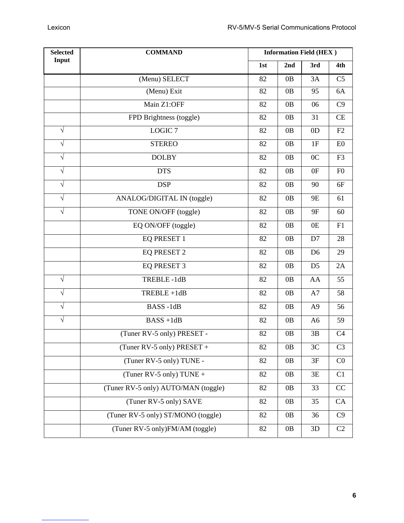| <b>Selected</b> | <b>COMMAND</b>                      |     | <b>Information Field (HEX)</b> |                |                |  |
|-----------------|-------------------------------------|-----|--------------------------------|----------------|----------------|--|
| Input           |                                     | 1st | 2nd                            | 3rd            | 4th            |  |
|                 | (Menu) SELECT                       | 82  | 0B                             | 3A             | C <sub>5</sub> |  |
|                 | (Menu) Exit                         | 82  | 0B                             | 95             | 6A             |  |
|                 | Main Z1:OFF                         | 82  | 0B                             | 06             | C9             |  |
|                 | FPD Brightness (toggle)             | 82  | 0B                             | 31             | CE             |  |
| $\sqrt{}$       | LOGIC <sub>7</sub>                  | 82  | 0B                             | 0D             | F2             |  |
| $\sqrt{}$       | <b>STEREO</b>                       | 82  | 0B                             | 1F             | E0             |  |
| $\sqrt{}$       | <b>DOLBY</b>                        | 82  | 0B                             | 0 <sub>C</sub> | F <sub>3</sub> |  |
| $\sqrt{}$       | <b>DTS</b>                          | 82  | 0B                             | 0F             | F <sub>0</sub> |  |
| $\sqrt{}$       | <b>DSP</b>                          | 82  | 0B                             | 90             | 6F             |  |
| $\sqrt{}$       | ANALOG/DIGITAL IN (toggle)          | 82  | 0B                             | 9E             | 61             |  |
| $\sqrt{}$       | TONE ON/OFF (toggle)                | 82  | 0B                             | 9F             | 60             |  |
|                 | EQ ON/OFF (toggle)                  | 82  | 0B                             | 0E             | F1             |  |
|                 | EQ PRESET 1                         | 82  | 0B                             | D7             | 28             |  |
|                 | <b>EQ PRESET 2</b>                  | 82  | 0B                             | D <sub>6</sub> | 29             |  |
|                 | EQ PRESET 3                         | 82  | 0B                             | D <sub>5</sub> | 2A             |  |
| $\sqrt{}$       | TREBLE-1dB                          | 82  | 0B                             | AA             | 55             |  |
| $\sqrt{}$       | TREBLE +1dB                         | 82  | 0B                             | A7             | 58             |  |
| $\sqrt{}$       | BASS-1dB                            | 82  | 0B                             | A <sub>9</sub> | 56             |  |
| $\sqrt{}$       | $BASS+1dB$                          | 82  | 0B                             | A <sub>6</sub> | 59             |  |
|                 | (Tuner RV-5 only) PRESET -          | 82  | 0B                             | 3B             | C <sub>4</sub> |  |
|                 | (Tuner RV-5 only) PRESET +          | 82  | 0B                             | 3C             | C <sub>3</sub> |  |
|                 | (Tuner RV-5 only) TUNE -            | 82  | 0B                             | 3F             | C <sub>0</sub> |  |
|                 | (Tuner RV-5 only) TUNE +            | 82  | 0B                             | 3E             | C1             |  |
|                 | (Tuner RV-5 only) AUTO/MAN (toggle) | 82  | 0 <sub>B</sub>                 | 33             | CC             |  |
|                 | (Tuner RV-5 only) SAVE              | 82  | 0B                             | 35             | CA             |  |
|                 | (Tuner RV-5 only) ST/MONO (toggle)  | 82  | 0B                             | 36             | C9             |  |
|                 | (Tuner RV-5 only)FM/AM (toggle)     | 82  | 0B                             | 3D             | C2             |  |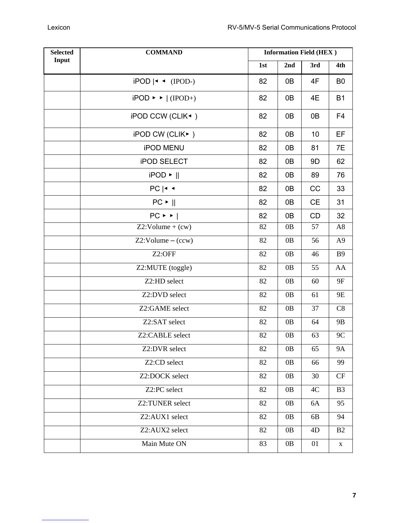| <b>Selected</b><br><b>COMMAND</b><br>Input |                                        | <b>Information Field (HEX)</b> |     |                |                |
|--------------------------------------------|----------------------------------------|--------------------------------|-----|----------------|----------------|
|                                            |                                        | 1st                            | 2nd | 3rd            | 4th            |
|                                            | $iPOD \mid \cdot \cdot (IPOD-)$        | 82                             | 0B  | 4F             | B <sub>0</sub> |
|                                            | $iPOD \rightarrow   (IPOD+)$           | 82                             | 0B  | 4E             | <b>B1</b>      |
|                                            | iPOD CCW (CLIK <sup>4</sup> )          | 82                             | 0B  | 0B             | F <sub>4</sub> |
|                                            | iPOD CW (CLIK▶)                        | 82                             | 0B  | 10             | EF             |
|                                            | <b>iPOD MENU</b>                       | 82                             | 0B  | 81             | 7E             |
|                                            | <b>iPOD SELECT</b>                     | 82                             | 0B  | 9 <sub>D</sub> | 62             |
|                                            | $iPOD$                                 | 82                             | 0B  | 89             | 76             |
|                                            | $PC$   $\triangleleft$ $\triangleleft$ | 82                             | 0B  | CC             | 33             |
|                                            | $PC$ $\blacktriangleright$ $  $        | 82                             | 0B  | <b>CE</b>      | 31             |
|                                            | $PC \rightarrow$ $\rightarrow$         | 82                             | 0B  | CD             | 32             |
|                                            | $Z2:Volume + (cw)$                     | 82                             | 0B  | 57             | A8             |
|                                            | $Z2:Volume - (ccw)$                    | 82                             | 0B  | 56             | A <sub>9</sub> |
|                                            | Z2:OFF                                 | 82                             | 0B  | 46             | <b>B</b> 9     |
|                                            | Z2:MUTE (toggle)                       | 82                             | 0B  | 55             | AA             |
|                                            | Z2:HD select                           | 82                             | 0B  | 60             | 9F             |
|                                            | Z2:DVD select                          | 82                             | 0B  | 61             | 9E             |
|                                            | Z2:GAME select                         | 82                             | 0B  | 37             | C8             |
|                                            | Z2:SAT select                          | 82                             | 0B  | 64             | 9 <sub>B</sub> |
|                                            | Z2:CABLE select                        | 82                             | 0B  | 63             | 9C             |
|                                            | Z2:DVR select                          | 82                             | 0B  | 65             | <b>9A</b>      |
|                                            | Z2:CD select                           | 82                             | 0B  | 66             | 99             |
|                                            | Z2:DOCK select                         | 82                             | 0B  | 30             | CF             |
|                                            | Z2:PC select                           | 82                             | 0B  | 4C             | B <sub>3</sub> |
|                                            | Z2:TUNER select                        | 82                             | 0B  | 6A             | 95             |
|                                            | Z2:AUX1 select                         | 82                             | 0B  | 6B             | 94             |
|                                            | Z2:AUX2 select                         | 82                             | 0B  | 4D             | B2             |
|                                            | Main Mute ON                           | 83                             | 0B  | 01             | $\mathbf X$    |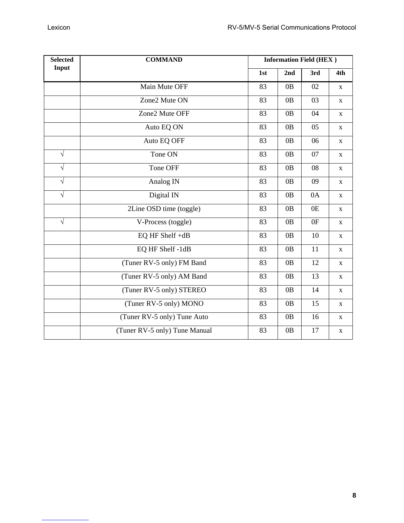| <b>Selected</b> | <b>COMMAND</b>                |     |     | <b>Information Field (HEX)</b> |             |
|-----------------|-------------------------------|-----|-----|--------------------------------|-------------|
| Input           |                               | 1st | 2nd | 3rd                            | 4th         |
|                 | Main Mute OFF                 | 83  | 0B  | 02                             | X           |
|                 | Zone2 Mute ON                 | 83  | 0B  | 03                             | X           |
|                 | Zone2 Mute OFF                | 83  | 0B  | 04                             | $\mathbf X$ |
|                 | Auto EQ ON                    | 83  | 0B  | 05                             | $\mathbf X$ |
|                 | Auto EQ OFF                   | 83  | 0B  | 06                             | $\mathbf X$ |
| $\sqrt{}$       | Tone ON                       | 83  | 0B  | 07                             | X           |
| $\sqrt{}$       | Tone OFF                      | 83  | 0B  | 08                             | $\mathbf X$ |
| $\sqrt{}$       | Analog IN                     | 83  | 0B  | 09                             | $\mathbf X$ |
| $\sqrt{ }$      | Digital IN                    | 83  | 0B  | 0A                             | X           |
|                 | 2Line OSD time (toggle)       | 83  | 0B  | 0E                             | $\mathbf X$ |
| $\sqrt{}$       | V-Process (toggle)            | 83  | 0B  | 0F                             | X           |
|                 | EQ HF Shelf +dB               | 83  | 0B  | 10                             | $\mathbf X$ |
|                 | EQ HF Shelf -1dB              | 83  | 0B  | 11                             | $\mathbf X$ |
|                 | (Tuner RV-5 only) FM Band     | 83  | 0B  | 12                             | $\mathbf X$ |
|                 | (Tuner RV-5 only) AM Band     | 83  | 0B  | 13                             | X           |
|                 | (Tuner RV-5 only) STEREO      | 83  | 0B  | 14                             | $\mathbf X$ |
|                 | (Tuner RV-5 only) MONO        | 83  | 0B  | 15                             | $\mathbf X$ |
|                 | (Tuner RV-5 only) Tune Auto   | 83  | 0B  | 16                             | X           |
|                 | (Tuner RV-5 only) Tune Manual | 83  | 0B  | 17                             | $\mathbf X$ |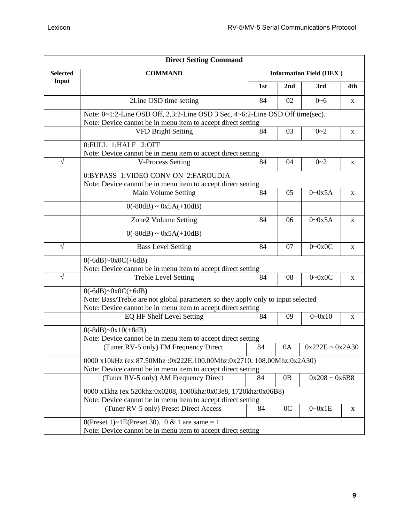| <b>Direct Setting Command</b> |                                                                                  |     |                 |                                |             |  |
|-------------------------------|----------------------------------------------------------------------------------|-----|-----------------|--------------------------------|-------------|--|
| <b>Selected</b>               | <b>COMMAND</b>                                                                   |     |                 | <b>Information Field (HEX)</b> |             |  |
| Input                         |                                                                                  | 1st | 2 <sub>nd</sub> | 3rd                            | 4th         |  |
|                               | 2Line OSD time setting                                                           | 84  | 02              | $0 - 6$                        | X           |  |
|                               | Note: 0~1:2-Line OSD Off, 2,3:2-Line OSD 3 Sec, 4~6:2-Line OSD Off time(sec).    |     |                 |                                |             |  |
|                               | Note: Device cannot be in menu item to accept direct setting                     |     |                 |                                |             |  |
|                               | <b>VFD Bright Setting</b>                                                        | 84  | 03              | $0 - 2$                        | X           |  |
|                               | 0:FULL 1:HALF 2:OFF                                                              |     |                 |                                |             |  |
|                               | Note: Device cannot be in menu item to accept direct setting                     |     |                 |                                |             |  |
| V                             | <b>V-Process Setting</b>                                                         | 84  | 04              | $0 - 2$                        | X           |  |
|                               | 0:BYPASS 1:VIDEO CONV ON 2:FAROUDJA                                              |     |                 |                                |             |  |
|                               | Note: Device cannot be in menu item to accept direct setting                     |     |                 |                                |             |  |
|                               | Main Volume Setting                                                              | 84  | 05              | $0 - 0x5A$                     | X           |  |
|                               | $0(-80dB) \sim 0x5A(+10dB)$                                                      |     |                 |                                |             |  |
|                               | Zone2 Volume Setting                                                             | 84  | 06              | $0 - 0x5A$                     | $\mathbf X$ |  |
|                               | $0(-80dB) \sim 0x5A(+10dB)$                                                      |     |                 |                                |             |  |
| $\sqrt{}$                     | <b>Bass Level Setting</b>                                                        | 84  | 07              | $0 - 0x0C$                     | $\mathbf X$ |  |
|                               | $0(-6dB)$ ~ $0x0C(+6dB)$                                                         |     |                 |                                |             |  |
|                               | Note: Device cannot be in menu item to accept direct setting                     |     |                 |                                |             |  |
| $\sqrt{}$                     | <b>Treble Level Setting</b>                                                      | 84  | 08              | $0 \sim 0 \times 0$ C          | $\mathbf X$ |  |
|                               | $0(-6dB)$ ~ $0x0C(+6dB)$                                                         |     |                 |                                |             |  |
|                               | Note: Bass/Treble are not global parameters so they apply only to input selected |     |                 |                                |             |  |
|                               | Note: Device cannot be in menu item to accept direct setting                     |     |                 |                                |             |  |
|                               | EQ HF Shelf Level Setting                                                        | 84  | 09              | $0 - 0x10$                     | X           |  |
|                               | $0(-8dB)$ ~ $0x10(+8dB)$                                                         |     |                 |                                |             |  |
|                               | Note: Device cannot be in menu item to accept direct setting                     |     |                 |                                |             |  |
|                               | (Tuner RV-5 only) FM Frequency Direct                                            | 84  | 0A              | $0x222E \sim 0x2A30$           |             |  |
|                               | 0000 x10kHz (ex 87.50Mhz:0x222E,100.00Mhz:0x2710, 108.00Mhz:0x2A30)              |     |                 |                                |             |  |
|                               | Note: Device cannot be in menu item to accept direct setting                     |     |                 |                                |             |  |
|                               | (Tuner RV-5 only) AM Frequency Direct                                            | 84  | 0 <sub>B</sub>  | $0x208 - 0x6B8$                |             |  |
|                               | 0000 x1khz (ex 520khz:0x0208, 1000khz:0x03e8, 1720khz:0x06B8)                    |     |                 |                                |             |  |
|                               | Note: Device cannot be in menu item to accept direct setting                     |     |                 |                                |             |  |
|                               | (Tuner RV-5 only) Preset Direct Access                                           | 84  | 0 <sup>C</sup>  | $0 - 0x1E$                     | X           |  |
|                               | 0(Preset 1)~1E(Preset 30), 0 & 1 are same = 1                                    |     |                 |                                |             |  |
|                               | Note: Device cannot be in menu item to accept direct setting                     |     |                 |                                |             |  |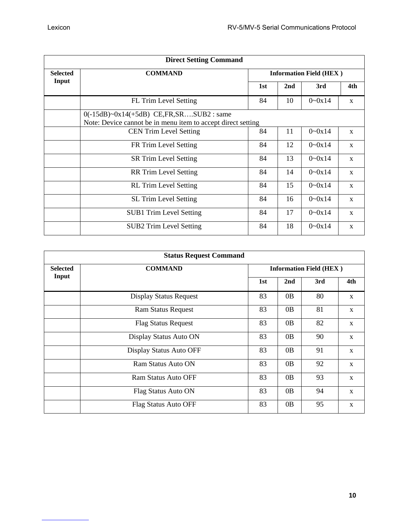| <b>Direct Setting Command</b> |                                                              |                                |     |            |              |  |
|-------------------------------|--------------------------------------------------------------|--------------------------------|-----|------------|--------------|--|
| <b>Selected</b>               | <b>COMMAND</b>                                               | <b>Information Field (HEX)</b> |     |            |              |  |
| Input                         |                                                              | 1st                            | 2nd | 3rd        | 4th          |  |
|                               | FL Trim Level Setting                                        | 84                             | 10  | $0 - 0x14$ | $\mathbf{x}$ |  |
|                               | $0(-15dB)$ ~ $0x14(+5dB)$ CE, FR, SRSUB2 : same              |                                |     |            |              |  |
|                               | Note: Device cannot be in menu item to accept direct setting |                                |     |            |              |  |
|                               | <b>CEN Trim Level Setting</b>                                | 84                             | 11  | $0 - 0x14$ | $\mathbf{x}$ |  |
|                               | FR Trim Level Setting                                        | 84                             | 12  | $0 - 0x14$ | $\mathbf{x}$ |  |
|                               | <b>SR Trim Level Setting</b>                                 | 84                             | 13  | $0 - 0x14$ | $\mathbf{x}$ |  |
|                               | <b>RR</b> Trim Level Setting                                 | 84                             | 14  | $0 - 0x14$ | $\mathbf{x}$ |  |
|                               | <b>RL</b> Trim Level Setting                                 | 84                             | 15  | $0 - 0x14$ | $\mathbf X$  |  |
|                               | <b>SL Trim Level Setting</b>                                 | 84                             | 16  | $0 - 0x14$ | $\mathbf{x}$ |  |
|                               | <b>SUB1</b> Trim Level Setting                               | 84                             | 17  | $0 - 0x14$ | $\mathbf{x}$ |  |
|                               | <b>SUB2 Trim Level Setting</b>                               | 84                             | 18  | $0 - 0x14$ | $\mathbf X$  |  |

|                 | <b>Status Request Command</b> |     |                                |     |              |  |
|-----------------|-------------------------------|-----|--------------------------------|-----|--------------|--|
| <b>Selected</b> | <b>COMMAND</b>                |     | <b>Information Field (HEX)</b> |     |              |  |
| Input           |                               | 1st | 2nd                            | 3rd | 4th          |  |
|                 | <b>Display Status Request</b> | 83  | 0B                             | 80  | $\mathbf{X}$ |  |
|                 | <b>Ram Status Request</b>     | 83  | 0B                             | 81  | X            |  |
|                 | <b>Flag Status Request</b>    | 83  | 0B                             | 82  | $\mathbf{X}$ |  |
|                 | Display Status Auto ON        | 83  | 0B                             | 90  | $\mathbf X$  |  |
|                 | Display Status Auto OFF       | 83  | 0B                             | 91  | $\mathbf X$  |  |
|                 | Ram Status Auto ON            | 83  | 0B                             | 92  | $\mathbf X$  |  |
|                 | <b>Ram Status Auto OFF</b>    | 83  | 0B                             | 93  | $\mathbf{X}$ |  |
|                 | Flag Status Auto ON           | 83  | 0B                             | 94  | X            |  |
|                 | Flag Status Auto OFF          | 83  | 0B                             | 95  | X            |  |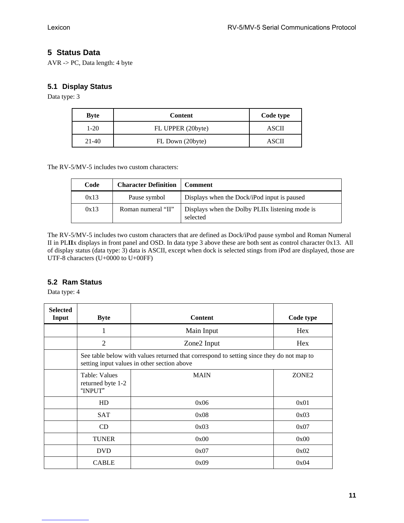## **5 Status Data**

AVR -> PC, Data length: 4 byte

#### **5.1 Display Status**

Data type: 3

| <b>Byte</b> | <b>Content</b>    | Code type |
|-------------|-------------------|-----------|
| $1-20$      | FL UPPER (20byte) | ASCII     |
| $21-40$     | FL Down (20byte)  | ASCII     |

The RV-5/MV-5 includes two custom characters:

| Code | <b>Character Definition</b> | Comment                                                     |
|------|-----------------------------|-------------------------------------------------------------|
| 0x13 | Pause symbol                | Displays when the Dock/iPod input is paused                 |
| 0x13 | Roman numeral "II"          | Displays when the Dolby PLIIx listening mode is<br>selected |

The RV-5/MV-5 includes two custom characters that are defined as Dock/iPod pause symbol and Roman Numeral II in PL**II**x displays in front panel and OSD. In data type 3 above these are both sent as control character 0x13. All of display status (data type: 3) data is ASCII, except when dock is selected stings from iPod are displayed, those are UTF-8 characters (U+0000 to U+00FF)

#### **5.2 Ram Status**

Data type: 4

| <b>Selected</b><br>Input | <b>Byte</b>                                                                                                                             | <b>Content</b> | Code type         |  |
|--------------------------|-----------------------------------------------------------------------------------------------------------------------------------------|----------------|-------------------|--|
|                          | 1                                                                                                                                       | Main Input     | Hex               |  |
|                          | $\overline{2}$                                                                                                                          | Zone2 Input    | Hex               |  |
|                          | See table below with values returned that correspond to setting since they do not map to<br>setting input values in other section above |                |                   |  |
|                          | <b>Table: Values</b><br>returned byte 1-2<br>"INPUT"                                                                                    | <b>MAIN</b>    | ZONE <sub>2</sub> |  |
|                          | HD                                                                                                                                      | 0x06           | 0x01              |  |
|                          | <b>SAT</b>                                                                                                                              | 0x08           | 0x03              |  |
|                          | CD                                                                                                                                      | 0x03           | 0x07              |  |
|                          | <b>TUNER</b>                                                                                                                            | 0x00           | 0x00              |  |
|                          | <b>DVD</b>                                                                                                                              | 0x07           | 0x02              |  |
|                          | <b>CABLE</b>                                                                                                                            | 0x09           | 0x04              |  |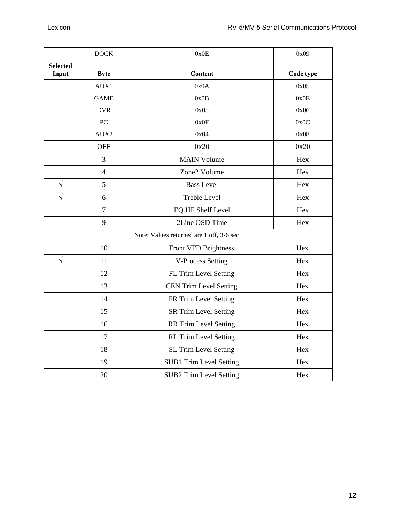|                          | <b>DOCK</b>    | 0x0E                                     | 0x09      |
|--------------------------|----------------|------------------------------------------|-----------|
| <b>Selected</b><br>Input | <b>Byte</b>    | <b>Content</b>                           | Code type |
|                          | AUX1           | 0x0A                                     | 0x05      |
|                          | <b>GAME</b>    | 0x0B                                     | 0x0E      |
|                          | <b>DVR</b>     | 0x05                                     | 0x06      |
|                          | PC             | 0x0F                                     | 0x0C      |
|                          | AUX2           | 0x04                                     | 0x08      |
|                          | <b>OFF</b>     | 0x20                                     | 0x20      |
|                          | 3              | <b>MAIN Volume</b>                       | Hex       |
|                          | $\overline{4}$ | Zone2 Volume                             | Hex       |
| $\sqrt{}$                | 5              | <b>Bass Level</b>                        | Hex       |
| $\sqrt{}$                | 6              | <b>Treble Level</b>                      | Hex       |
|                          | $\overline{7}$ | EQ HF Shelf Level                        | Hex       |
|                          | 9              | 2Line OSD Time                           | Hex       |
|                          |                | Note: Values returned are 1 off, 3-6 sec |           |
|                          | 10             | Front VFD Brightness                     | Hex       |
| $\sqrt{}$                | 11             | <b>V-Process Setting</b>                 | Hex       |
|                          | 12             | FL Trim Level Setting                    | Hex       |
|                          | 13             | <b>CEN Trim Level Setting</b>            | Hex       |
|                          | 14             | FR Trim Level Setting                    | Hex       |
|                          | 15             | <b>SR Trim Level Setting</b>             | Hex       |
|                          | 16             | <b>RR Trim Level Setting</b>             | Hex       |
|                          | 17             | <b>RL</b> Trim Level Setting             | Hex       |
|                          | 18             | <b>SL Trim Level Setting</b>             | Hex       |
|                          | 19             | <b>SUB1 Trim Level Setting</b>           | Hex       |
|                          | 20             | <b>SUB2 Trim Level Setting</b>           | Hex       |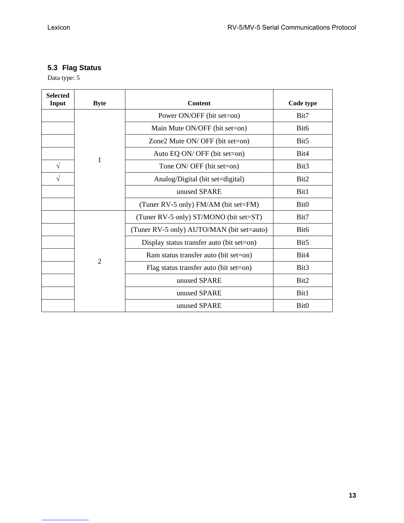# **5.3 Flag Status**

Data type: 5

| <b>Selected</b><br>Input | <b>Byte</b>    | <b>Content</b>                            | Code type        |
|--------------------------|----------------|-------------------------------------------|------------------|
|                          |                | Power ON/OFF (bit set=on)                 | Bit7             |
|                          | 1              | Main Mute ON/OFF (bit set=on)             | Bit <sub>6</sub> |
|                          |                | Zone2 Mute ON/ OFF (bit set=on)           | Bit <sub>5</sub> |
|                          |                | Auto EQ ON/ OFF (bit set=on)              | Bit4             |
| V                        |                | Tone ON/ OFF (bit set=on)                 | Bit3             |
|                          |                | Analog/Digital (bit set=digital)          | Bit2             |
|                          |                | unused SPARE                              | Bit1             |
|                          |                | (Tuner RV-5 only) FM/AM (bit set=FM)      | Bit <sub>0</sub> |
|                          |                | (Tuner RV-5 only) ST/MONO (bit set=ST)    | Bit7             |
|                          | $\overline{2}$ | (Tuner RV-5 only) AUTO/MAN (bit set=auto) | Bit <sub>6</sub> |
|                          |                | Display status transfer auto (bit set=on) | Bit <sub>5</sub> |
|                          |                | Ram status transfer auto (bit set=on)     | Bit4             |
|                          |                | Flag status transfer auto (bit set=on)    | Bit3             |
|                          |                | unused SPARE                              | Bit2             |
|                          |                | unused SPARE                              | Bit1             |
|                          |                | unused SPARE                              | Bit <sub>0</sub> |